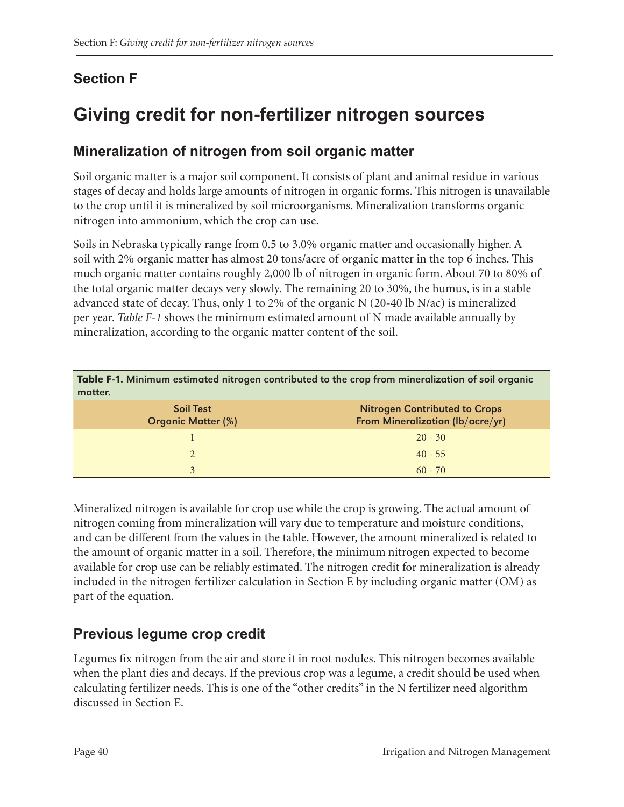## **Section F**

# **Giving credit for non-fertilizer nitrogen sources**

### **Mineralization of nitrogen from soil organic matter**

Soil organic matter is a major soil component. It consists of plant and animal residue in various stages of decay and holds large amounts of nitrogen in organic forms. This nitrogen is unavailable to the crop until it is mineralized by soil microorganisms. Mineralization transforms organic nitrogen into ammonium, which the crop can use.

Soils in Nebraska typically range from 0.5 to 3.0% organic matter and occasionally higher. A soil with 2% organic matter has almost 20 tons/acre of organic matter in the top 6 inches. This much organic matter contains roughly 2,000 lb of nitrogen in organic form. About 70 to 80% of the total organic matter decays very slowly. The remaining 20 to 30%, the humus, is in a stable advanced state of decay. Thus, only 1 to 2% of the organic N (20-40 lb N/ac) is mineralized per year. *Table F-1* shows the minimum estimated amount of N made available annually by mineralization, according to the organic matter content of the soil.

| Table F-1. Minimum estimated nitrogen contributed to the crop from mineralization of soil organic<br>matter. |                                                                          |  |  |
|--------------------------------------------------------------------------------------------------------------|--------------------------------------------------------------------------|--|--|
| <b>Soil Test</b><br><b>Organic Matter (%)</b>                                                                | <b>Nitrogen Contributed to Crops</b><br>From Mineralization (lb/acre/yr) |  |  |
|                                                                                                              | $20 - 30$                                                                |  |  |
| $\mathcal{D}$                                                                                                | $40 - 55$                                                                |  |  |
| 3                                                                                                            | $60 - 70$                                                                |  |  |

Mineralized nitrogen is available for crop use while the crop is growing. The actual amount of nitrogen coming from mineralization will vary due to temperature and moisture conditions, and can be different from the values in the table. However, the amount mineralized is related to the amount of organic matter in a soil. Therefore, the minimum nitrogen expected to become available for crop use can be reliably estimated. The nitrogen credit for mineralization is already included in the nitrogen fertilizer calculation in Section E by including organic matter (OM) as part of the equation.

### **Previous legume crop credit**

Legumes fix nitrogen from the air and store it in root nodules. This nitrogen becomes available when the plant dies and decays. If the previous crop was a legume, a credit should be used when calculating fertilizer needs. This is one of the "other credits" in the N fertilizer need algorithm discussed in Section E.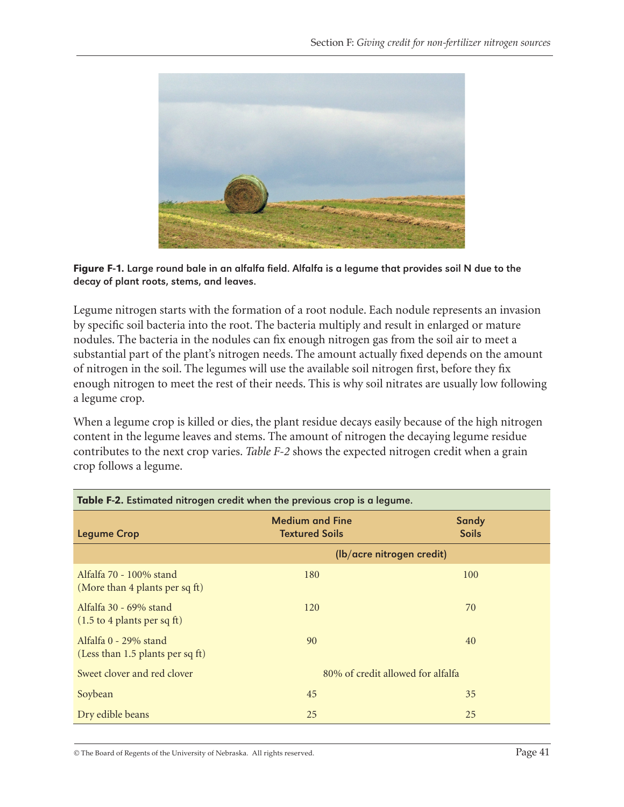

Figure F-1. Large round bale in an alfalfa field. Alfalfa is a legume that provides soil N due to the decay of plant roots, stems, and leaves.

Legume nitrogen starts with the formation of a root nodule. Each nodule represents an invasion by specific soil bacteria into the root. The bacteria multiply and result in enlarged or mature nodules. The bacteria in the nodules can fix enough nitrogen gas from the soil air to meet a substantial part of the plant's nitrogen needs. The amount actually fixed depends on the amount of nitrogen in the soil. The legumes will use the available soil nitrogen first, before they fix enough nitrogen to meet the rest of their needs. This is why soil nitrates are usually low following a legume crop.

When a legume crop is killed or dies, the plant residue decays easily because of the high nitrogen content in the legume leaves and stems. The amount of nitrogen the decaying legume residue contributes to the next crop varies. *Table F-2* shows the expected nitrogen credit when a grain crop follows a legume.

| Table F-2. Estimated nitrogen credit when the previous crop is a legume. |                                                 |                              |  |
|--------------------------------------------------------------------------|-------------------------------------------------|------------------------------|--|
| <b>Legume Crop</b>                                                       | <b>Medium and Fine</b><br><b>Textured Soils</b> | <b>Sandy</b><br><b>Soils</b> |  |
|                                                                          |                                                 | (lb/acre nitrogen credit)    |  |
| Alfalfa 70 - 100% stand<br>(More than 4 plants per sq ft)                | 180                                             | 100                          |  |
| Alfalfa 30 - 69% stand<br>$(1.5 \text{ to } 4 \text{ plants per sq ft})$ | 120                                             | 70                           |  |
| Alfalfa 0 - 29% stand<br>(Less than 1.5 plants per sq ft)                | 90                                              | 40                           |  |
| Sweet clover and red clover                                              | 80% of credit allowed for alfalfa               |                              |  |
| Soybean                                                                  | 45                                              | 35                           |  |
| Dry edible beans                                                         | 25                                              | 25                           |  |

© The Board of Regents of the University of Nebraska. All rights reserved. Page 41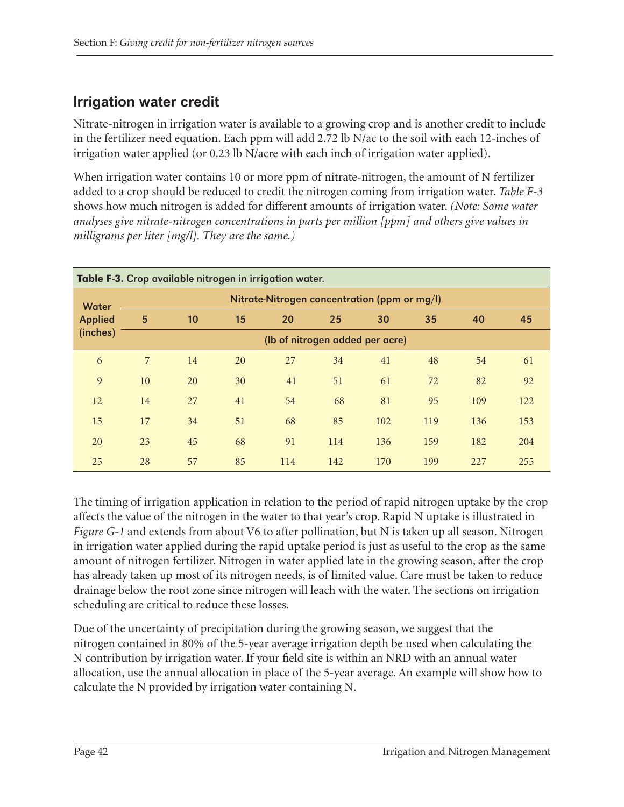### **Irrigation water credit**

Nitrate-nitrogen in irrigation water is available to a growing crop and is another credit to include in the fertilizer need equation. Each ppm will add 2.72 lb N/ac to the soil with each 12-inches of irrigation water applied (or 0.23 lb N/acre with each inch of irrigation water applied).

When irrigation water contains 10 or more ppm of nitrate-nitrogen, the amount of N fertilizer added to a crop should be reduced to credit the nitrogen coming from irrigation water. *Table F-3* shows how much nitrogen is added for different amounts of irrigation water. *(Note: Some water analyses give nitrate-nitrogen concentrations in parts per million [ppm] and others give values in milligrams per liter [mg/l]. They are the same.)*

| Table F-3. Crop available nitrogen in irrigation water. |                                              |    |    |     |     |     |     |     |     |
|---------------------------------------------------------|----------------------------------------------|----|----|-----|-----|-----|-----|-----|-----|
| <b>Water</b>                                            | Nitrate-Nitrogen concentration (ppm or mg/l) |    |    |     |     |     |     |     |     |
| <b>Applied</b>                                          | 5                                            | 10 | 15 | 20  | 25  | 30  | 35  | 40  | 45  |
| (inches)                                                | (Ib of nitrogen added per acre)              |    |    |     |     |     |     |     |     |
| 6                                                       | $\overline{7}$                               | 14 | 20 | 27  | 34  | 41  | 48  | 54  | 61  |
| 9                                                       | 10                                           | 20 | 30 | 41  | 51  | 61  | 72  | 82  | 92  |
| 12                                                      | 14                                           | 27 | 41 | 54  | 68  | 81  | 95  | 109 | 122 |
| 15                                                      | 17                                           | 34 | 51 | 68  | 85  | 102 | 119 | 136 | 153 |
| 20                                                      | 23                                           | 45 | 68 | 91  | 114 | 136 | 159 | 182 | 204 |
| 25                                                      | 28                                           | 57 | 85 | 114 | 142 | 170 | 199 | 227 | 255 |

The timing of irrigation application in relation to the period of rapid nitrogen uptake by the crop affects the value of the nitrogen in the water to that year's crop. Rapid N uptake is illustrated in *Figure G-1* and extends from about V6 to after pollination, but N is taken up all season. Nitrogen in irrigation water applied during the rapid uptake period is just as useful to the crop as the same amount of nitrogen fertilizer. Nitrogen in water applied late in the growing season, after the crop has already taken up most of its nitrogen needs, is of limited value. Care must be taken to reduce drainage below the root zone since nitrogen will leach with the water. The sections on irrigation scheduling are critical to reduce these losses.

Due of the uncertainty of precipitation during the growing season, we suggest that the nitrogen contained in 80% of the 5-year average irrigation depth be used when calculating the N contribution by irrigation water. If your field site is within an NRD with an annual water allocation, use the annual allocation in place of the 5-year average. An example will show how to calculate the N provided by irrigation water containing N.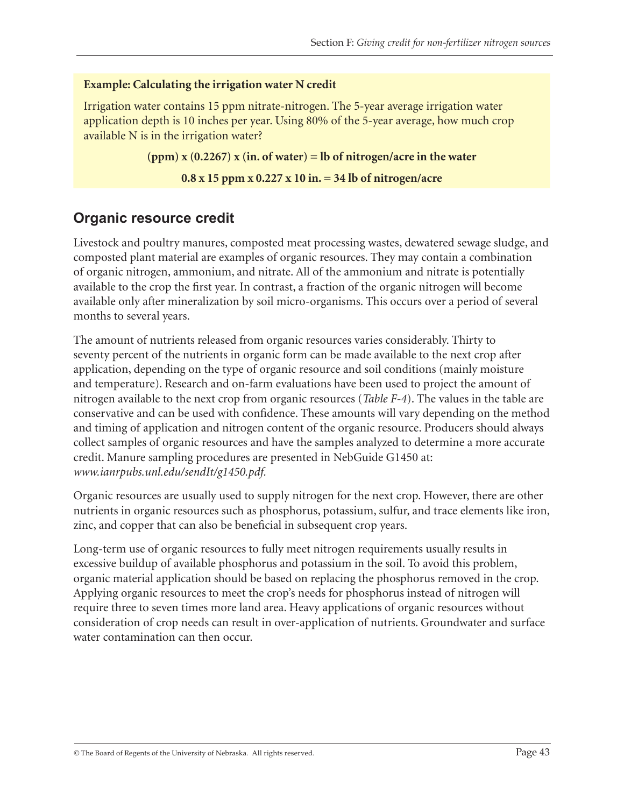#### **Example: Calculating the irrigation water N credit**

Irrigation water contains 15 ppm nitrate-nitrogen. The 5-year average irrigation water application depth is 10 inches per year. Using 80% of the 5-year average, how much crop available N is in the irrigation water?

```
(ppm) x (0.2267) x (in. of water) = lb of nitrogen/acre in the water
```
**0.8 x 15 ppm x 0.227 x 10 in. = 34 lb of nitrogen/acre**

#### **Organic resource credit**

Livestock and poultry manures, composted meat processing wastes, dewatered sewage sludge, and composted plant material are examples of organic resources. They may contain a combination of organic nitrogen, ammonium, and nitrate. All of the ammonium and nitrate is potentially available to the crop the first year. In contrast, a fraction of the organic nitrogen will become available only after mineralization by soil micro-organisms. This occurs over a period of several months to several years.

The amount of nutrients released from organic resources varies considerably. Thirty to seventy percent of the nutrients in organic form can be made available to the next crop after application, depending on the type of organic resource and soil conditions (mainly moisture and temperature). Research and on-farm evaluations have been used to project the amount of nitrogen available to the next crop from organic resources (*Table F-4*). The values in the table are conservative and can be used with confidence. These amounts will vary depending on the method and timing of application and nitrogen content of the organic resource. Producers should always collect samples of organic resources and have the samples analyzed to determine a more accurate credit. Manure sampling procedures are presented in NebGuide G1450 at: *www.ianrpubs.unl.edu/sendIt/g1450.pdf.*

Organic resources are usually used to supply nitrogen for the next crop. However, there are other nutrients in organic resources such as phosphorus, potassium, sulfur, and trace elements like iron, zinc, and copper that can also be beneficial in subsequent crop years.

Long-term use of organic resources to fully meet nitrogen requirements usually results in excessive buildup of available phosphorus and potassium in the soil. To avoid this problem, organic material application should be based on replacing the phosphorus removed in the crop. Applying organic resources to meet the crop's needs for phosphorus instead of nitrogen will require three to seven times more land area. Heavy applications of organic resources without consideration of crop needs can result in over-application of nutrients. Groundwater and surface water contamination can then occur.